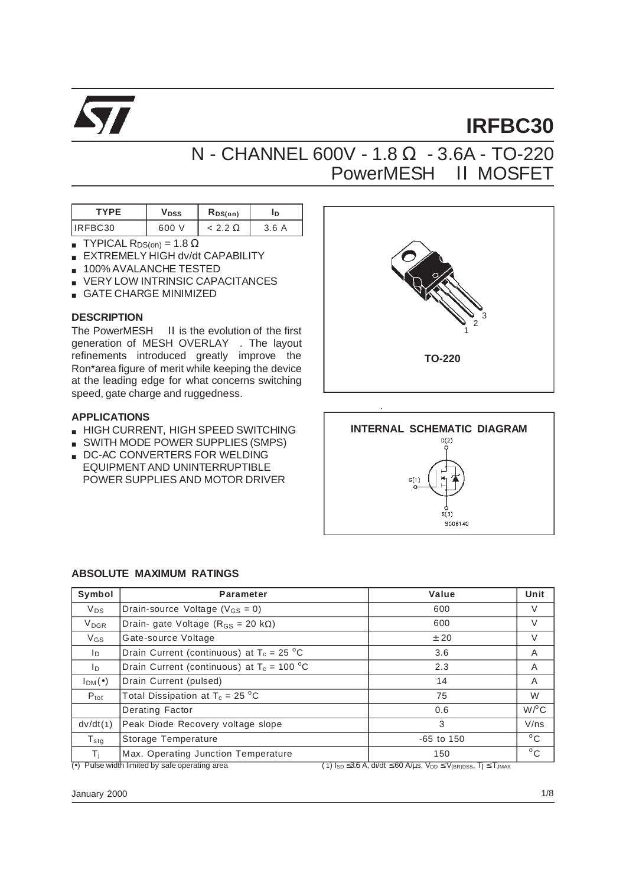

# **IRFBC30**

## N - CHANNEL 600V - 1.8 Ω - 3.6A - TO-220 PowerMESH<sup>TM</sup> II MOSFET

| TYPF    | <b>V</b> DSS | $R_{DS(on)}$ | ⊀D.      |  |
|---------|--------------|--------------|----------|--|
| IRFBC30 | 600          |              | 3.6<br>Α |  |

- **TYPICAL R**DS(on) = 1.8  $\Omega$
- EXTREMELY HIGH dv/dt CAPABILITY
- 100% AVALANCHE TESTED
- VERY LOW INTRINSIC CAPACITANCES
- GATE CHARGE MINIMIZED

#### **DESCRIPTION**

The PowerMESH<sup>™</sup> II is the evolution of the first generation of MESH OVERLAY<sup>TM</sup>. The layout refinements introduced greatly improve the Ron\*area figure of merit while keeping the device at the leading edge for what concerns switching speed, gate charge and ruggedness.

#### **APPLICATIONS**

- HIGH CURRENT, HIGH SPEED SWITCHING
- SWITH MODE POWER SUPPLIES (SMPS)
- DC-AC CONVERTERS FOR WELDING EQUIPMENT AND UNINTERRUPTIBLE POWER SUPPLIES AND MOTOR DRIVER





#### **ABSOLUTE MAXIMUM RATINGS**

| Symbol                  | Parameter                                        | Value          | Unit                 |
|-------------------------|--------------------------------------------------|----------------|----------------------|
| $V_{DS}$                | Drain-source Voltage ( $V_{GS} = 0$ )            | 600            | V                    |
| <b>V</b> <sub>DGR</sub> | Drain- gate Voltage ( $R_{GS}$ = 20 k $\Omega$ ) | 600            | V                    |
| $V_{GS}$                | Gate-source Voltage                              | ± 20           | V                    |
| In.                     | Drain Current (continuous) at $T_c = 25 °C$      | 3.6            | A                    |
| ID.                     | Drain Current (continuous) at $T_c = 100 °C$     | 2.3            | A                    |
| $I_{DM}(\bullet)$       | Drain Current (pulsed)                           | 14             | A                    |
| $P_{\text{tot}}$        | Total Dissipation at $T_c = 25 \degree C$        | 75             | W                    |
|                         | Derating Factor                                  | 0.6            | $W$ <sup>o</sup> $C$ |
| dv/dt(1)                | Peak Diode Recovery voltage slope                | 3              | V/ns                 |
| $T_{\text{stg}}$        | Storage Temperature                              | $-65$ to $150$ | $^{\circ}$ C         |
| Τi                      | Max. Operating Junction Temperature              | 150            | $^{\circ}$ C         |

(•) Pulse width limited by safe operating area  $(1)$  I<sub>SD</sub> ≤3.6 A, di/dt ≤ 60 A/µs, V<sub>DD</sub> ≤ V<sub>(BR)DSS</sub>, Tj ≤ T<sub>JMAX</sub>

January 2000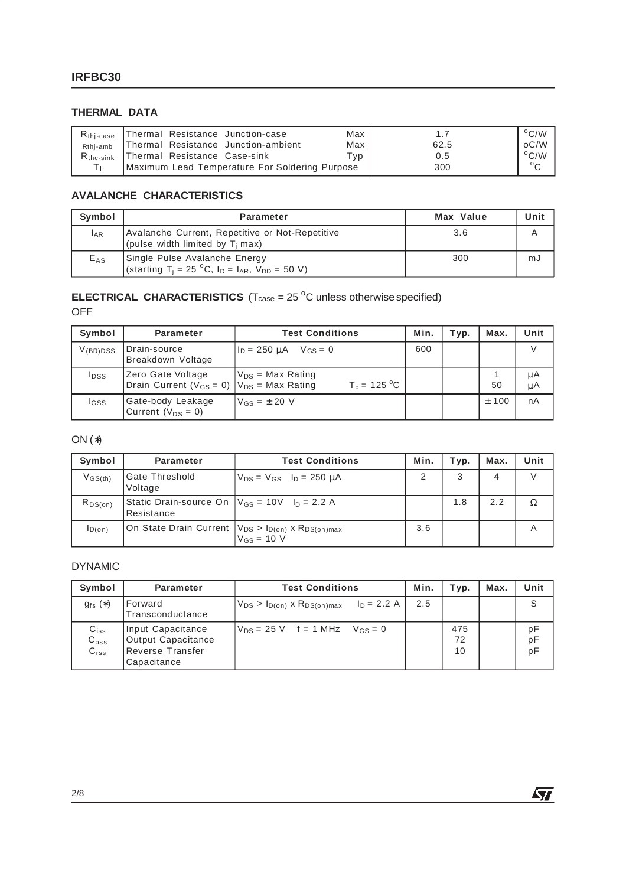#### **THERMAL DATA**

| $R_{\rm thi-case}$ | Thermal Resistance Junction-case               | Max |      | $^{\circ}$ C/W |
|--------------------|------------------------------------------------|-----|------|----------------|
| Rthi-amb           | Thermal Resistance Junction-ambient            | Max | 62.5 | oC/W           |
| $R_{\rm thc-sink}$ | Thermal Resistance Case-sink                   | Гvр | 0.5  | $\rm ^{o}C/W$  |
|                    | Maximum Lead Temperature For Soldering Purpose |     | 300  | $\circ$        |

#### **AVALANCHE CHARACTERISTICS**

| Symbol     | <b>Parameter</b>                                                                                                              | Max Value | Unit |
|------------|-------------------------------------------------------------------------------------------------------------------------------|-----------|------|
| <b>LAR</b> | Avalanche Current, Repetitive or Not-Repetitive<br>(pulse width limited by $T_i$ max)                                         | 3.6       |      |
| $E_{AS}$   | Single Pulse Avalanche Energy<br>(starting T <sub>i</sub> = 25 °C, I <sub>D</sub> = I <sub>AR</sub> , V <sub>DD</sub> = 50 V) | 300       | mJ   |

#### **ELECTRICAL CHARACTERISTICS**  $(T_{\text{case}} = 25 \text{ °C}$  unless otherwise specified) OFF

| Symbol        | <b>Parameter</b>                                                            | <b>Test Conditions</b>                              | Min. | Typ. | Max.  | Unit     |
|---------------|-----------------------------------------------------------------------------|-----------------------------------------------------|------|------|-------|----------|
| $V_{(BR)DSS}$ | Drain-source<br>Breakdown Voltage                                           | $I_{\text{D}} = 250 \text{ uA}$ $V_{\text{GS}} = 0$ | 600  |      |       | V        |
| <b>I</b> DSS  | Zero Gate Voltage<br>Drain Current ( $V_{GS} = 0$ )   $V_{DS} = Max Rating$ | $V_{DS}$ = Max Rating<br>$T_c = 125 °C$             |      |      | 50    | μA<br>μA |
| lgss          | Gate-body Leakage<br>Current $(V_{DS} = 0)$                                 | $V_{GS} = \pm 20$ V                                 |      |      | ± 100 | nA       |

### ON (∗)

| Symbol       | <b>Parameter</b>                                                                   | <b>Test Conditions</b>                                                                                    | Min. | Typ. | Max. | Unit |
|--------------|------------------------------------------------------------------------------------|-----------------------------------------------------------------------------------------------------------|------|------|------|------|
| $V$ GS(th)   | Gate Threshold<br>Voltage                                                          | $V_{DS} = V_{GS}$ $I_D = 250 \mu A$                                                                       | ာ    | 3    | 4    |      |
| $R_{DS(on)}$ | Static Drain-source On  V <sub>GS</sub> = 10V l <sub>D</sub> = 2.2 A<br>Resistance |                                                                                                           |      | 1.8  | 2.2  |      |
| ID(on)       |                                                                                    | On State Drain Current   V <sub>DS</sub> > I <sub>D(on)</sub> x R <sub>DS(on)max</sub><br>$V_{GS}$ = 10 V | 3.6  |      |      | Α    |

#### DYNAMIC

| Symbol                                         | <b>Parameter</b>                                                           | <b>Test Conditions</b>                               | Min. | Typ.            | Max. | Unit           |
|------------------------------------------------|----------------------------------------------------------------------------|------------------------------------------------------|------|-----------------|------|----------------|
| $g_{fs}(*)$                                    | Forward<br>Transconductance                                                | $V_{DS} > I_{D(on)}$ x $R_{DS(on)max}$ $I_D = 2.2$ A | 2.5  |                 |      | S              |
| $C_{iss}$<br>$C_{\text{oss}}$<br>$C_{\rm rss}$ | Input Capacitance<br>Output Capacitance<br>Reverse Transfer<br>Capacitance | $V_{DS} = 25 V$ f = 1 MHz $V_{GS} = 0$               |      | 475<br>72<br>10 |      | pF<br>pF<br>pF |

 $\sqrt{2}$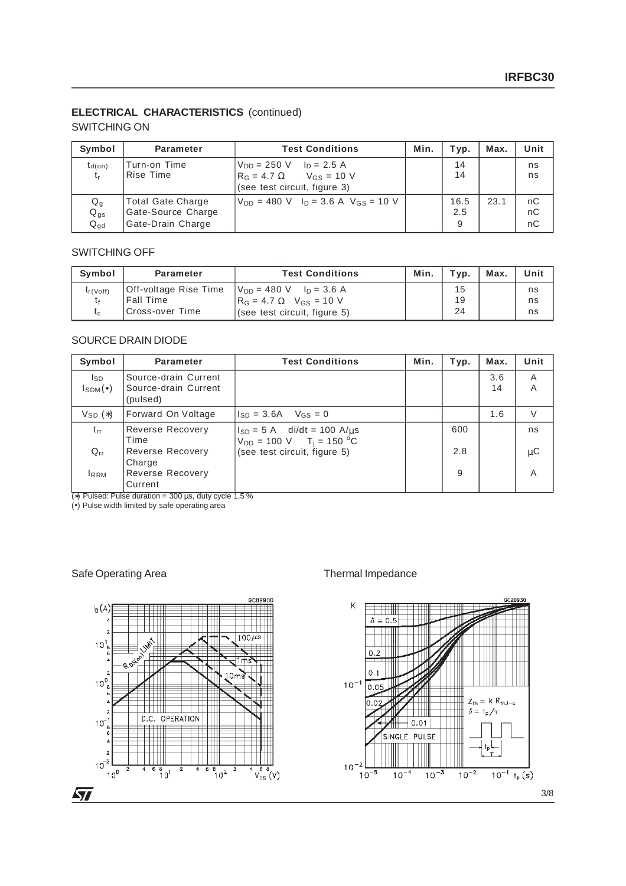#### **ELECTRICAL CHARACTERISTICS** (continued)

#### SWITCHING ON

| Symbol                     | <b>Parameter</b>                                             | <b>Test Conditions</b>                                                                                               | Min. | Typ.             | Max. | Unit           |
|----------------------------|--------------------------------------------------------------|----------------------------------------------------------------------------------------------------------------------|------|------------------|------|----------------|
| $t_{d(on)}$<br>t,          | Turn-on Time<br>Rise Time                                    | $V_{DD} = 250 \text{ V}$ $I_D = 2.5 \text{ A}$<br>$R_G = 4.7 \Omega$ $V_{GS} = 10 V$<br>(see test circuit, figure 3) |      | 14<br>14         |      | ns<br>ns       |
| Qg<br>$Q_{gs}$<br>$Q_{qd}$ | Total Gate Charge<br>Gate-Source Charge<br>Gate-Drain Charge | $V_{DD}$ = 480 V $I_D$ = 3.6 A $V_{GS}$ = 10 V                                                                       |      | 16.5<br>2.5<br>9 | 23.1 | nC<br>nC<br>nC |

#### SWITCHING OFF

| Symbol       | <b>Parameter</b>      | <b>Test Conditions</b>                         | Min. | Typ. | Max. | Unit |
|--------------|-----------------------|------------------------------------------------|------|------|------|------|
| $t_f$ (Voff) | Off-voltage Rise Time | $V_{DD} = 480 \text{ V}$ $I_D = 3.6 \text{ A}$ |      | 15   |      | ns   |
|              | Fall Time             | $R_G = 4.7 \Omega$ V <sub>GS</sub> = 10 V      |      | 19   |      | ns   |
| $t_{c}$      | Cross-over Time       | (see test circuit, figure 5)                   |      | 24   |      | ns   |

#### SOURCE DRAIN DIODE

| Symbol                    | <b>Parameter</b>                                         | <b>Test Conditions</b>                                                                    | Min. | Typ. | Max.      | Unit    |
|---------------------------|----------------------------------------------------------|-------------------------------------------------------------------------------------------|------|------|-----------|---------|
| Isp<br>$I_{SDM}(\bullet)$ | Source-drain Current<br>Source-drain Current<br>(pulsed) |                                                                                           |      |      | 3.6<br>14 | A<br>A  |
| $V_{SD}$ $(*)$            | Forward On Voltage                                       | $I_{SD} = 3.6A$<br>$V_{GS} = 0$                                                           |      |      | 1.6       | V       |
| $t_{rr}$                  | Reverse Recovery<br>Time                                 | $I_{SD} = 5$ A di/dt = 100 A/ $\mu$ s<br>$V_{DD} = 100 \text{ V}$ T <sub>i</sub> = 150 °C |      | 600  |           | ns      |
| $Q_{rr}$                  | Reverse Recovery                                         | (see test circuit, figure 5)                                                              |      | 2.8  |           | $\mu$ C |
| <b>IRRM</b>               | Charge<br>Reverse Recovery<br>Current                    |                                                                                           |      | 9    |           | A       |

(∗) Pulsed: Pulse duration = 300 µs, duty cycle 1.5 %

(•) Pulse width limited by safe operating area

#### Safe Operating Area Thermal Impedance

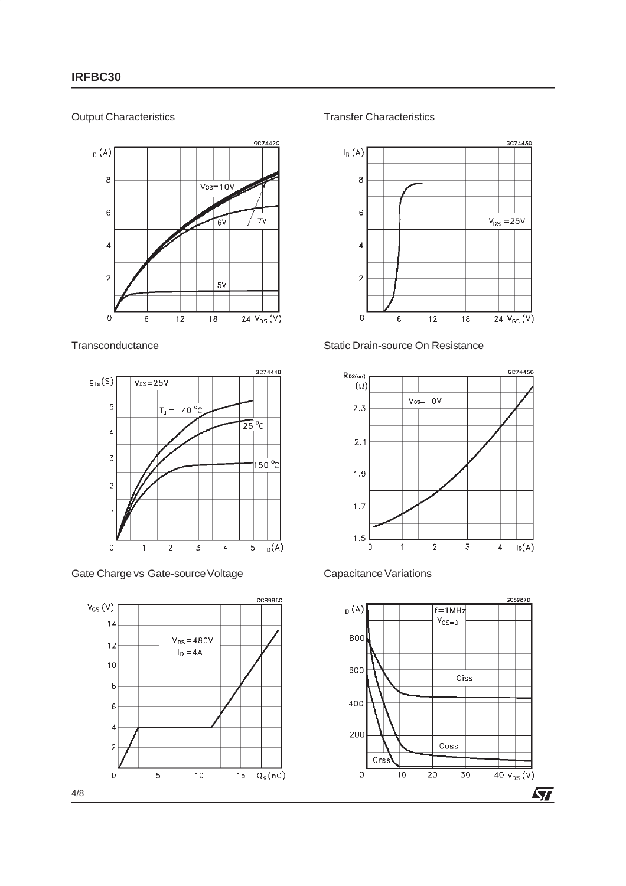#### Output Characteristics



#### **Transconductance**



#### Gate Charge vs Gate-source Voltage



#### Transfer Characteristics



#### Static Drain-source On Resistance



#### Capacitance Variations



4/8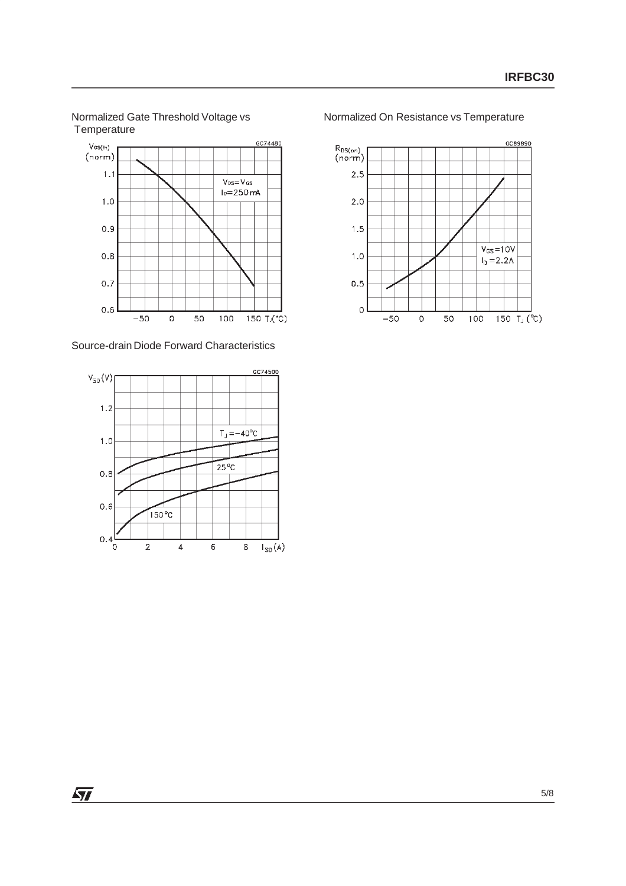



Source-drain Diode Forward Characteristics



Normalized On Resistance vs Temperature



 $\sqrt{27}$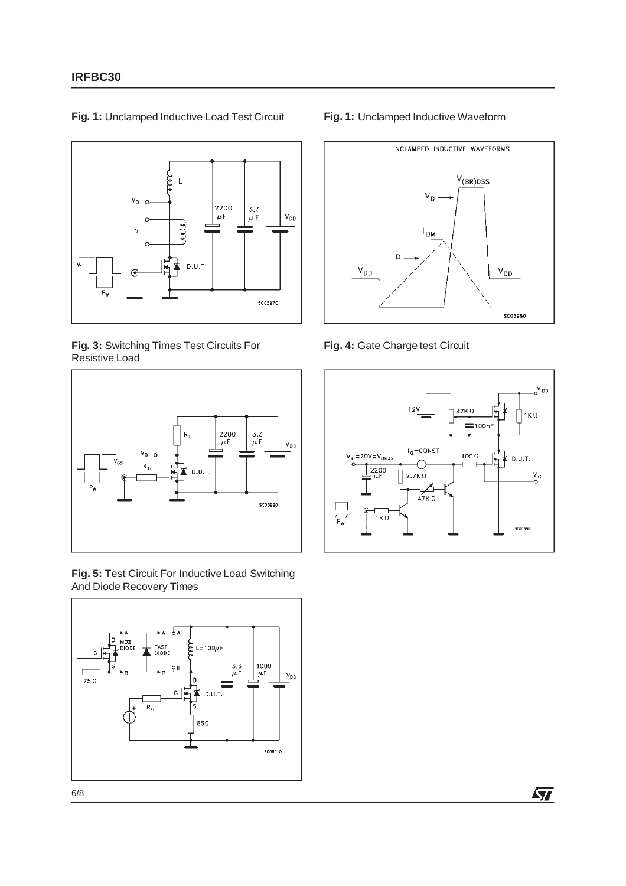

**Fig. 1:** Unclamped Inductive Load Test Circuit

**Fig. 3:** Switching Times Test Circuits For Resistive Load



**Fig. 5:** Test Circuit For Inductive Load Switching And Diode Recovery Times



#### **Fig. 1:** Unclamped Inductive Waveform



**Fig. 4:** Gate Charge test Circuit



牙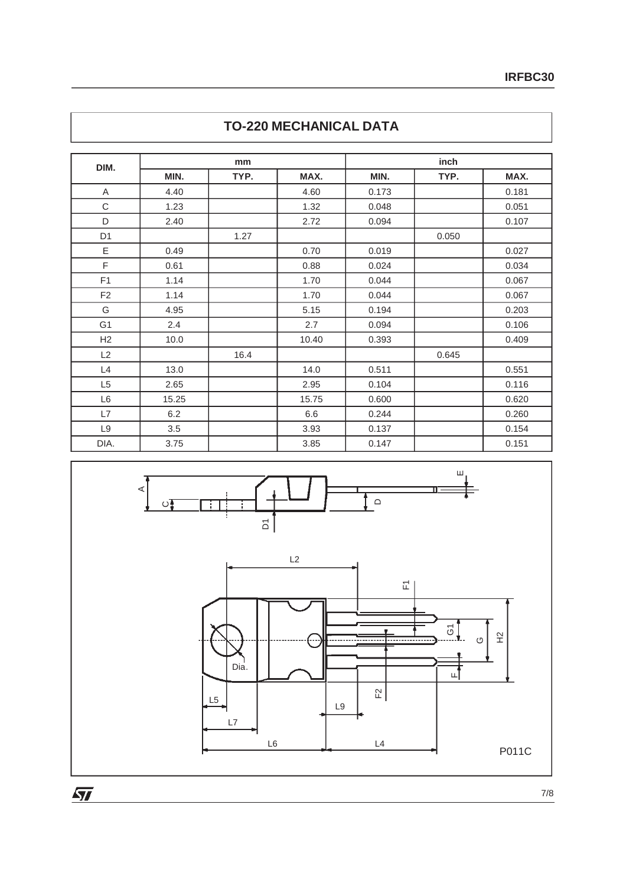| DIM.           |       | mm   |       |       | inch  |       |
|----------------|-------|------|-------|-------|-------|-------|
|                | MIN.  | TYP. | MAX.  | MIN.  | TYP.  | MAX.  |
| A              | 4.40  |      | 4.60  | 0.173 |       | 0.181 |
| C              | 1.23  |      | 1.32  | 0.048 |       | 0.051 |
| D              | 2.40  |      | 2.72  | 0.094 |       | 0.107 |
| D <sub>1</sub> |       | 1.27 |       |       | 0.050 |       |
| E              | 0.49  |      | 0.70  | 0.019 |       | 0.027 |
| F              | 0.61  |      | 0.88  | 0.024 |       | 0.034 |
| F <sub>1</sub> | 1.14  |      | 1.70  | 0.044 |       | 0.067 |
| F <sub>2</sub> | 1.14  |      | 1.70  | 0.044 |       | 0.067 |
| G              | 4.95  |      | 5.15  | 0.194 |       | 0.203 |
| G <sub>1</sub> | 2.4   |      | 2.7   | 0.094 |       | 0.106 |
| H <sub>2</sub> | 10.0  |      | 10.40 | 0.393 |       | 0.409 |
| L2             |       | 16.4 |       |       | 0.645 |       |
| L4             | 13.0  |      | 14.0  | 0.511 |       | 0.551 |
| L <sub>5</sub> | 2.65  |      | 2.95  | 0.104 |       | 0.116 |
| L <sub>6</sub> | 15.25 |      | 15.75 | 0.600 |       | 0.620 |
| L7             | 6.2   |      | 6.6   | 0.244 |       | 0.260 |
| L9             | 3.5   |      | 3.93  | 0.137 |       | 0.154 |
| DIA.           | 3.75  |      | 3.85  | 0.147 |       | 0.151 |

## **TO-220 MECHANICAL DATA**



 $\overline{\mathbf{M}}$